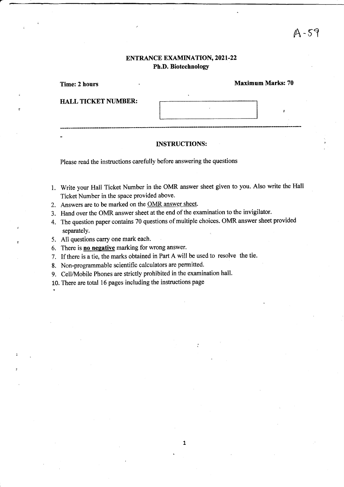# ENTRANCE EXAMINATION, 2021-22 Ph.D. Biotechnology

| Time: 2 hours              | <b>Maximum Marks: 70</b> |
|----------------------------|--------------------------|
| <b>HALL TICKET NUMBER:</b> |                          |
|                            |                          |
|                            |                          |
|                            |                          |

#### INSTRUCTIONS:

Please read the instructions carefully before answering the questions

- 1. Write your Hall Ticket Number in the OMR answer sheet given to you. Also write the Hall Ticket Number in the space provided above.
- 2. Answers are to be marked on the OMR answer sheet.
- 3. Hand over the OMR answer sheet at the end of the examination to the invigilator.
- 4. The question paper contains 70 questions of multiple choices. OMR answer sheet provided separately.

 $\mathbf{1}$ 

- 5. All questions carry one mark each.
- 6. There is no negative marking for wrong answer.
- 7. If there is a tie, the marks obtained in Part A will be used to resolve the tie.
- 8. Non-programmable scientific calculators are permitted.
- 9. Cell/Mobile Phones are strictly prohibited in the examination hall.
- 10. There are total 16 pages including the instructions page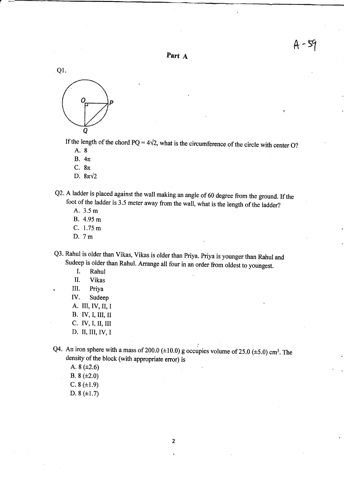

a-



If the length of the chord PQ =  $4\sqrt{2}$ , what is the circumference of the circle with center O? A. 8

- 
- B.  $4\pi$
- C.  $8\pi$
- D.  $8\pi\sqrt{2}$
- Q2. A ladder is placed against the wall making an angle of 60 degree from the ground. If the foot of the ladder is 3.5 meter away from the wall, what is the length of the ladder? A. 3.5 <sup>m</sup>
	-
	- B. 4.95 m
	- C. 1.75 m
	- D. 7m

Q3' Rahul is older than Vikas, Vikas is older than Priya. Priya is younger than Rahul and Sudeep is older than Rahul. Arrange all four in an order from oldest to youngest.<br>I. Rahul

- 
- il. Vikas
- III. Priya
- IV. Sudeep
- A. III, IV, II, I
- B. IV,I, III, II
- c. IV,I, il, III
- D. II, III, IV, I

Q4. An iron sphere with a mass of 200.0 ( $\pm$ 10.0) g occupies volume of 25.0 ( $\pm$ 5.0) cm<sup>3</sup>. The density of the block (with appropriate error) is

A.  $8 (+2.6)$ B.  $8 (+2.0)$  $C. 8 (\pm 1.9)$ D.  $8 (+1.7)$ 

 $\overline{2}$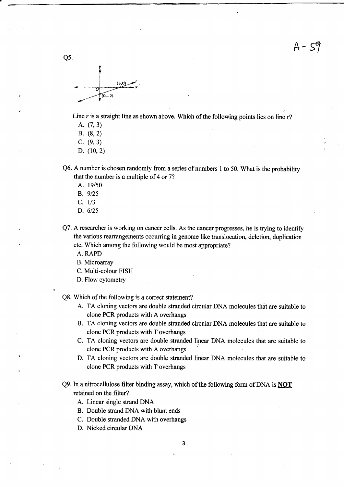$A - 59$ 



Line r is a straight line as shown above. Which of the following points lies on line  $r$ ?

- A. (7,3)
- B. (9,2)
- c. (9,3)
- D. (10,2)
- Q6.A number is chosen randomly from a series of numbers I to 50. What is the probability that the number is a multiple of 4 or 72
	- A. 19/50
	- B. 9/25
	- $C. 1/3$
	- D. 6/2s
- Q7. A researcher is working on cancer cells. As the cancer progresses, he is trying to identify the various rearrangements occurring in genome like translocation, deletion, duplication etc. Which among the following would be most appropriate?

A. RAPD

- B. Microarray
- C. Multi-colour FISH
- D. Flow cytometry

Q8. Which of the following is a correct statement?

- A. TA cloning vectors are double stranded circular DNA molecules that are suitable to clone PCR products with A overhangs
- B. TA cloning vectors are double stranded circular DNA molecules that are suitable to clone PCR products with T overhangs
- C. TA cloning vectors are double stranded linear DNA molecules that are suitable to clone PCR products with A overhangs
- D. TA cloning vectors are double stranded linear DNA molecules that are suitable to clone PCR products with T overhangs
- Q9. In a nitrocellulose filter binding assay, which of the following form of DNA is **NOT** retained on the filter?
	- A. Linear single strand DNA
	- B. Double strand DNA with blunt ends
	- C. Double stranded DNA with overhangs
	- D. Nicked circular DNA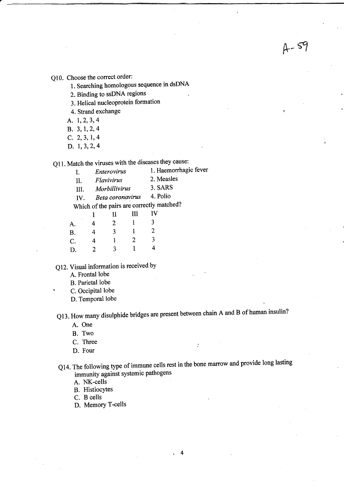Q10. Choose the oorrect order:

l. Searching homologous sequence in dsDNA

 $A - 59$ 

- 2. Binding to ssDNA regions
- 3. Helical nucleoprotein formation
- 4. Strand exchange
- A. 1,2,3,4
- 8.3,L,2,4
- c.2,3,1,4
- D. 1,3,2,4

Q11. Match the viruses with the diseases they cause:<br>I. Enterovirus 1. Haemorrhagi

- 1. Haemorrhagic fever
	- II. Flavivirus 2. Measles<br>III Morbillivirus 3. SARS
		-
	- III. Morbillivirus 3. SARS<br>IV Reta coronavirus 4. Polio IV. Beta coronavirus

Which of the pairs are correctly matched?

| IV |
|----|
| 3  |
| 2  |
| 3  |
| 4  |
|    |

Q12. Visuat information is received by

A. Frontal lobe

B. Parietal lobe

- C. Occipital lobe
- D. Temporal lobe

Q13. How many disulphide bridges are present between chain A and B of human insulin?

- A. One
- B. Two
- C. Three
- D. Four
- Q14. The following type of immune cells rest in the bone marow and provide long lasting immunity against systemic pathogens

 $\ddot{\cdot}$ 

 $\ddot{\phantom{0}}$ 

- A. NK-cells
- B. HistiocYtes

C. B cells

D. Memory T-cells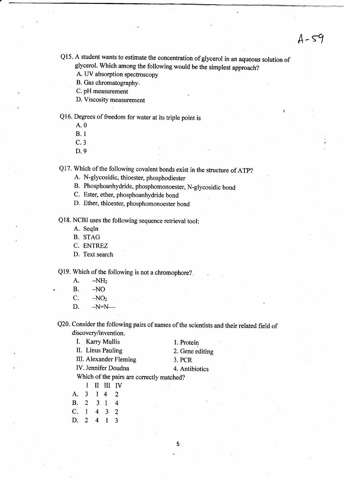$A - 59$ 

- Ql5. A student wants to estimate the concentration of glycerol in an aqueous solution of glycerol. which among the following would be the simplest approach?
	- A. UV absorption spectroscopy
	- B. Gas chromatography.
	- C.pH measurement
	- D. Viscosity measurement

Ql6. Degrees of freedom for water at its triple point is

- A.0
- B. I
- c.3
- D.9

Q17. which of the following covalent bonds exist in the structure of ATp?

- A. N-glycosidic, thioester, phosphodiester
- B. Phosphoanhydride, phosphomonoester, N-glycosidic bond
- C. Ester, ether, phosphoanhydride bond
- D. Ether, thioester, phosphomonoester bond

Ql8. NCBI uses the following sequence retrieval tool:

- A. Seqln
- B. STAG
- C. ENTREZ
- D. Text search

Q19. Which of the following is not a chromophore?.

- A.  $-NH_2$ <br>B.  $-NO$
- B. NO<br>C. NO
- $-NO<sub>2</sub>$
- D.  $-N=N$ -

Q20. Consider the following pairs of names of the scientists and their related field of discovery/invention.

| I. Karry Mullis                           | 1. Protein      |
|-------------------------------------------|-----------------|
| II. Linus Pauling                         | 2. Gene editing |
| III. Alexander Fleming                    | 3. PCR          |
| IV. Jennifer Doudna                       | 4. Antibiotics  |
| Which of the pairs are correctly matched? |                 |

- I II III IV
- A. 3 1 4 2 **B.** 2 3 1  $\overline{4}$ C. 1 4 3  $\overline{2}$
- D. 2 4  $\mathbf{1}$  $\overline{3}$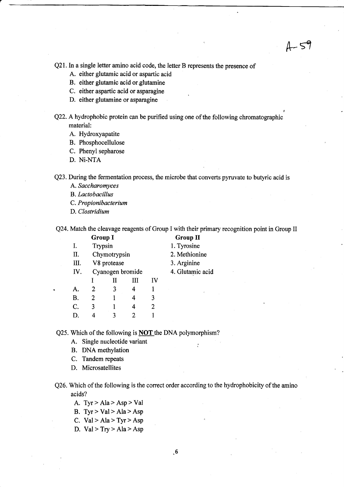$A - 59$ 

Q21. In a single letter amino acid code, the letter B represents the presence of

- A. either glutamic acid or aspartic acid
- B. either glutamic acid orglutamine
- C. either aspartic acid or asparagine
- D. either glutamine or asparagine

Q22. A hydrophobic protein can be purified using one of the following chromatographic material:

- A. Hydroxyapatite
- B. Phosphocellulose
- C. Phenyl sepharose
- D. Ni-NTA

Q23. During the fermentation process, the microbe that converts pyruvate to butyric acid is

A. Saccharomyces

B. Lactobacillus

C. Propionibacterium

D. Clostridium

Q24. Match the cleavage reagents of Group I with their primary recognition point in Group II

|           | <b>Group I</b> |                  |   |    | <b>Group II</b>  |
|-----------|----------------|------------------|---|----|------------------|
| I.        | Trypsin        |                  |   |    | 1. Tyrosine      |
| Π.        |                | Chymotrypsin     |   |    | 2. Methionine    |
| Ш.        |                | V8 protease      |   |    | 3. Arginine      |
| IV.       |                | Cyanogen bromide |   |    | 4. Glutamic acid |
|           |                |                  | Ш | IV |                  |
| A.        | 2              | 3                | 4 |    | k.               |
| <b>B.</b> | 2              |                  | 4 | 3  |                  |
| C.        | 3              |                  | 4 | 2  |                  |
| D.        | 4              |                  | 2 |    |                  |

Q25. Which of the following is NOT the DNA polymorphism?

A. Single nucleotide variant

B. DNA methylation

C. Tandem repeats

D. Microsatellites

Q26. Which of the following is the correct order according to the hydrophobicity of the amino acids?

A.  $Tyr > Ala > Asp > Val$ 

B. Tyr > Val > Ala > Asp

C. Val > Ala > Tyr > Asp

D.  $Val > Try > Ala > Asp$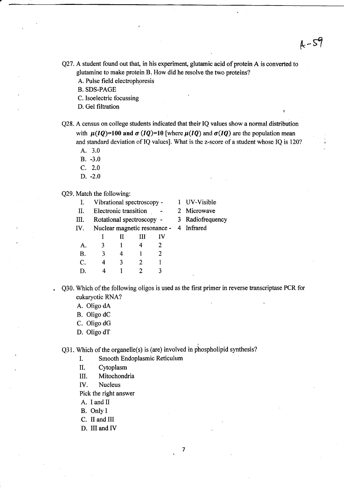r

- Q27. A student found out that, in his experiment, glutamic acid of protein A is converted to glutamine to make protein B. How did he resolve the two proteins?
	- A. Pulse field electrophoresis

B. SDS-PAGE

C. Isoelectric focussing

- D. Gel filtration
- Q28. A census on college students indicated that their IQ values show a normal distribution with  $\mu(IQ)=100$  and  $\sigma(IQ)=10$  [where  $\mu(IQ)$  and  $\sigma(IQ)$  are the population mean and standard deviation of IQ values]. What is the z-score of a student whose IQ is 120?
	- A. 3.0
	- B. -3.0
	- c. 2.0
	- D. -2.0

Q29. Match the following:

- I. Vibrational spectroscopy I UV-Visible
- U. Electronic transition 2 Microwave

III. Rotational spectroscopy - 3 Radiofrequency

| IV. |  | Nuclear magnetic resonance - |           |  |
|-----|--|------------------------------|-----------|--|
|     |  | Ш                            | <b>IV</b> |  |

| Α.          | $\mathfrak{Z}$ |   | 4                     | $\overline{2}$ |
|-------------|----------------|---|-----------------------|----------------|
| <b>B.</b>   | 3              | 4 |                       | $\mathbf{2}$   |
| $C_{\cdot}$ | 4              | 3 | $\mathbf{2}^{\prime}$ | 1              |
| D.          | 4              |   | $\overline{2}$        | 3 <sup>7</sup> |

- 
- 
- 
- 4 Infrared

. Q30. Which of the following oligos is used as the first primer in reverse transcriptase PCR for eukaryotic RNA?

 $\overline{7}$ 

- A. Oligo dA
- B. Oligo dC
- C. Oligo dG
- D. Oligo dT

 $Q31$ . Which of the organelle(s) is (are) involved in phospholipid synthesis?

- I. Smooth Endoplasmic Reticulum
- II. Cytoplasm
- III. Mitochondria
- IV. Nucleus

Pick the right answer

- A. I and II
- B. Only I
- C. II and III
- D. III and IV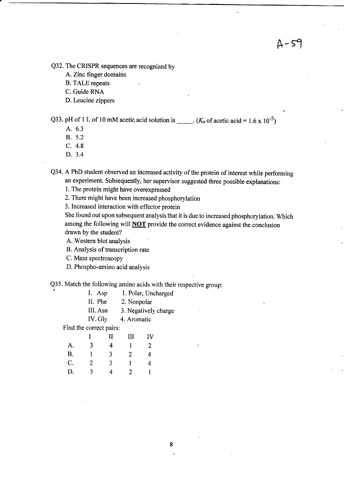Q32. The CRISPR sequences are recognized by

A. Zinc finger domains

B. TALE repeats

C. Guide RNA

D. Leucine zippers

Q33. pH of 1 L of 10 mM acetic acid solution is \_\_\_\_\_.  $(K_a \text{ of } acetic \text{ acid} = 1.6 \times 10^{-5})$ 

- A. 6.3
- B. 5.2
- c. 4.8
- D. 3.4

Q34. A PhD student observed an increased activity of the protein of interest while performing an experiment. Subsequently, her supervisor suggested three possible explanations:

1. The protein might have overexpressed

2. There might have been increased phosphorylation

3. Increased interaction with effector protein

She found out upon subsequent analysis that it is due to increased phosphorylation. Which among the following will **NOT** provide the correct evidence against the conclusion drawn by the student?

8

A. Western blot analysis

B. Analysis of transcription rate

C. Mass spectroscopy

D. Phospho-amino acid analysis

Q35. Match the following amino acids with their respective group:

| I. | Asp |  |  |  | 1. Polar, Uncharged |
|----|-----|--|--|--|---------------------|
|----|-----|--|--|--|---------------------|

II. Phe 2. Nonpolar

IIL Asn 3. Negatively charge

IV. Gly 4. Aromatic

Find the correct pairs:

|           |   | П | Ш | <b>IV</b> |
|-----------|---|---|---|-----------|
| A.        | 3 | 4 | Ŧ | 2         |
| <b>B.</b> | 1 | 3 | 2 | 4         |
| C.        | 2 | 3 |   | 4         |
| D.        | 3 | 4 | 2 |           |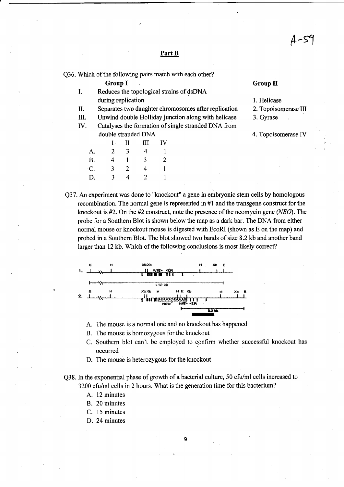&-fr

#### Part B

Q36. Which of the following pairs match with each other?

Group I Group II

- I. Reduces the topological strains of dsDNA during replication 1. Helicase
- $\text{U}$ . Separates two daughter chromosomes after replication 2. Topoisomerase III
- III. Unwind double Holliday junction along with helicase 3. Gyrase
- IV. Catalyses the formation of single stranded DNA from double stranded DNA 4. Topoisomerase IV  $I = II$  III IV

| A.        | $\overline{2}$ | 3 | 4            |                |
|-----------|----------------|---|--------------|----------------|
| <b>B.</b> | 4              |   | $\mathbf{3}$ | $\overline{2}$ |
| C.        | 3              | 2 | 4            | L              |
| D.        | 3              | 4 | 2            | L              |

- 
- 

Q37. An experiment was done to "knockout" a gene in embryonic stem cells by homologous recombination. The normal gene is represented in #l and the transgene construct for the knockout is  $#2$ . On the  $#2$  construct, note the presence of the neomycin gene (NEO). The probe for a Southern Blot is shown below the map as a dark bar. The DNA from either normal mouse or knockout mouse is digested with EcoRI (shown as E on the map) and probed in a Southern Blot. The blot showed two bands of size 8.2 kb and another band larger than 12 kb. Which of the following conclusions is most likely correct?



A. The mouse is a normal one and no knockout has happened

- B. The mouse is homozygous for the knockout
- C. Southern blot can't be employed to confirm whether successful knockout has occurred
- D. The mouse is heterozygous for the knockout

Q38. In the exponential phase of growth of a bacterial culture, 50 cfu/ml cells increased to 3200 cfu/ml cells in 2 hours. What is the generation time for this bacterium?

- A. 12 minutes
- B. 20 minutes
- C. 15 minutes
- D. 24 minutes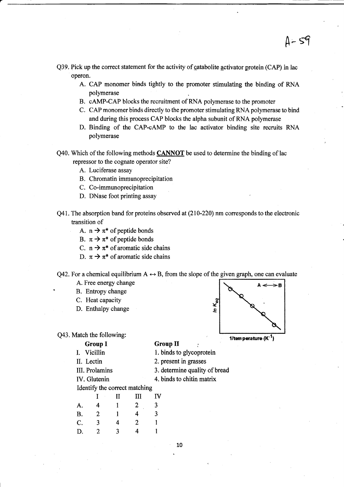- Q39. Pick up the correct statement for the activity of catabolite activator protein (CAP) in lac operon.
	- A. CAP monomer binds tightly to the promoter stimulating the binding of RNA polymerase
	- B. cAMP-CAP blocks the recruitment of RNA polymerase to the promoter
	- C. CAP monomer binds directly to the promoter stimulating RNA polymerase to bind and during this process CAP blocks the alpha subunit of RNA polymerase
	- D. Binding of the CAP-oAMP to the lac activator binding site recruits RNA polynerase
- $Q40$ . Which of the following methods  $CANNOT$  be used to determine the binding of lac repressor to the cognate operator site?
	- A. Luciferase assay
	- B. Chromatin immunoprecipitation
	- C. Co-immunoprecipitation
	- D. DNase foot printing assay
- $Q41$ . The absorption band for proteins observed at  $(210-220)$  nm corresponds to the electronic transition of
	- A.  $n \rightarrow \pi^*$  of peptide bonds
	- B.  $\pi \rightarrow \pi^*$  of peptide bonds
	- C.  $n \rightarrow \pi^*$  of aromatic side chains
	- D.  $\pi \rightarrow \pi^*$  of aromatic side chains

Q42. For a chemical equilibrium  $A \leftrightarrow B$ , from the slope of the given graph, one can evaluate

- A. Free energy change
- B. Entropy change
- C. Heat capacity
- D. Enthalpy change

Q43. Match the following:

**Group II** 



 $A - 59$ 

1/tem perature  $(K^{-1})$ 

- Group I I. Vicillin II. Lectin l. binds to glycoprotein 2. present in grasses
	- III. Prolamins
	- IV. Glutenin
- 3. determine. quality of bread 4. binds to chitin matrix

Identify the correct matching

|           |   | П | III | IV |  |
|-----------|---|---|-----|----|--|
| A.        | 4 |   | 2   | 3  |  |
| <b>B.</b> | 2 |   | 4   | 3  |  |
| C.        | 3 | 4 | 2   |    |  |
| D.        | 2 | 3 | 4   |    |  |
|           |   |   |     |    |  |

10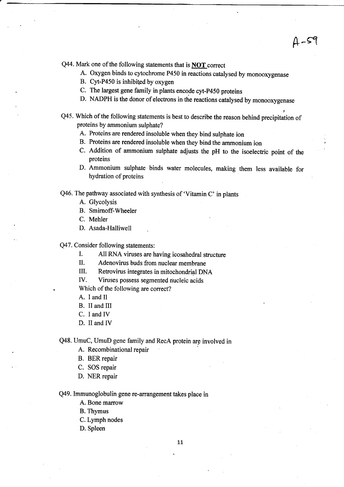Q44. Mark one of the following statements that is **NOT** correct

A. Oxygen binds to cytochrome P450 in reactions catalysed by monooxygenase

 $A-$ 59

- B. Cyt-P450 is inhibited by oxygen
- C. The largest gene family in plants encode cyt-p450 proteins
- D. NADPH is the donor of electrons in the reactions catalysed by monooxygenase
- Q45. Which of the following statements is best to describe the reason behind precipitation of proteins by ammonium sulphate?
	- A. Proteins are rendered insoluble when they bind sulphate ion
	- B. Proteins are rendered insoluble when they bind the ammonium ion
	- C. Addition of ammonium sulphate adjusts the pH to the isoelectric point of the proteins
	- D. Ammonium sulphate binds water molecules, making them less available for hydration of proteins

Q46. The pathway associated with synthesis of 'Vitamin C' in plants

- A. Glycolysis
- B. Smirnoff-Wheeler
- C. Mehler
- D. Asada-Halliwell

Q47. Consider following statements:

I. All RNA viruses are having icosahedral structure

II. Adenovirus buds from nuclear membrane

III. Retrovirus integrates in mitochondrial DNA

IV. Viruses possess segmented nucleic acids

Which of the following are correct?

- A. I and Il
- B. II and III
- C. I and IV
- D. II and IV

Q48. UmuC, UmuD gene family and RecA protein arg involved in

- A. Recombinational repair
- B. BER repair
- C. SOS repair
- D. NER repair

Q49. Immunoglobulin gene re-arrangement takes place in

A. Bone marow

B. Thymus

- C. Lymph nodes
- D. Spleen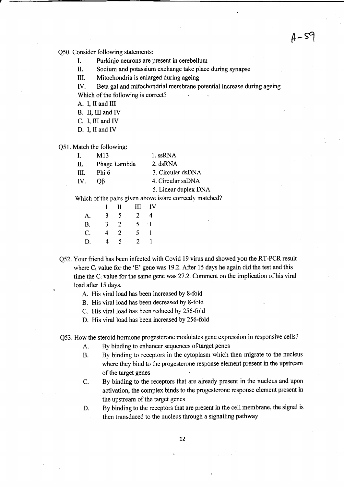$A-$ 59

Q50. Consider following statements:

- I. Purkinje neurons are present in cerebellum
- II. Sodium and potassium exchange take place during synapse

UI. Mitochondria is enlarged during ageing

ry. Beta gal and mifochondrial membrane potential increase during ageing Which of the following is correct?

A. I, il and III

B. II, III and IV

- C. I, III and IV
- D. I, II and IV

Q51. Match the following:

| $\mathbf{L}$ | M13          | 1. ssRNA             |
|--------------|--------------|----------------------|
| П.           | Phage Lambda | 2. dsRNA             |
| HI.          | Phi 6        | 3. Circular dsDNA    |
| IV.          | OB           | 4. Circular ssDNA    |
|              |              | 5. Linear duplex DNA |

Which of the pairs given above is/are correctly matched?

|    | $\mathbf{I}$ | H | Ш              | - IV              |
|----|--------------|---|----------------|-------------------|
| A. | 3            | 5 | $\mathbf{2}$   | 4                 |
| B. | 3            | 2 | 5.             | $\lceil 1 \rceil$ |
| C. | 4            | 2 | 5.             | ı                 |
| D. | 4            | 5 | $\overline{2}$ |                   |

Q52. Your friend has been infected with Covid 19 virus and showed you the RT-PCR result where  $C_t$  value for the 'E' gene was 19.2. After 15 days he again did the test and this time the  $C_t$  value for the same gene was 27.2. Comment on the implication of his viral load after 15 days.

- A. His viral load has been increased by 8-fold
- B. His viral load has been decreased by 8-fold

C. His viral load has been reduced by 256-fold

D. His viral load has been increased by 256-fold

Q53. How the steroid hormone progesterone modulates gene expression in responsive cells?

- A. By binding to enhancer sequences of target genes
- B. By binding to receptors in the cytoplasm which then migrate to the nucleus where they bind to the progesterone response element present in the upstream of the target genes
- C. By binding to the receptors that are already present in the nucleus and upon activation, the complex binds to the progesterone response element present in the upstream of the target genes
- D. By binding to the receptors that are present in the cell membrane, the signal is then transduced to the nucleus through a signalling pathway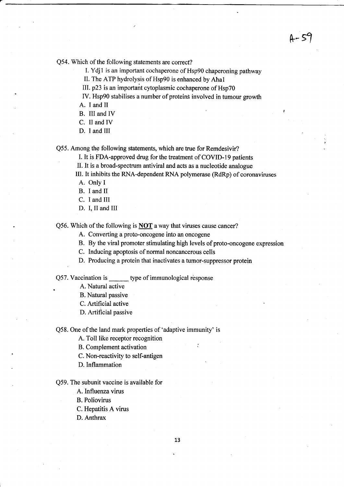Q54. Which of the following statements are correct?

I. Ydjl is an important cochaperone of Hsp90 chaperoning pathway

s- s1

II. The ATP hydrolysis of Hsp90 is enhanced by Ahal

lll. p23 is an important cytoplasmic cochaperone of Hsp70

IV. Hsp90 stabilises a number of proteins involved in tumour growth

A. I and II

B. III and lV

C. ll and IV

D. I and III

Q55. Among the following statements, which are true for Remdesivir?

I. It is FDA-approved drug for the treatment of COVID-I9 patients

II. It is a broad-spectrum antiviral and acts as a nucleotide analogue

IIl. It inhibits the RNA-dependent RNA polymerase (RdRp) of coronaviruses

A. Only I

B. I and II

C. I and III

.

D. I, II and III

Q56. Which of the following is NOT a way that viruses cause cancer?

A. Converting a proto-oncogene into an oncogene

B. By the viral promoter stimulating high levels of proto-oncogene expression

C. Inducing apoptosis of normal noncancerous cells

D. Producing a protein that inactivates a tumor-suppressor protein

Q57. Vaccination is type of immunological response

A. Natural active

B. Natural passive

C. Artificial active

D. Artificial passive

Q58. One of the land mark properties of 'adaptive immunity' is

A. Toll like receptor recognition

B. Complement activation :

C. Non-reactivity to self-antigen

D. Inflammation

Q59. The subunit vaccine is available for

A. lnfluenza virus

B. Poliovirus

C. Hepatitis A virus

D. Anthrax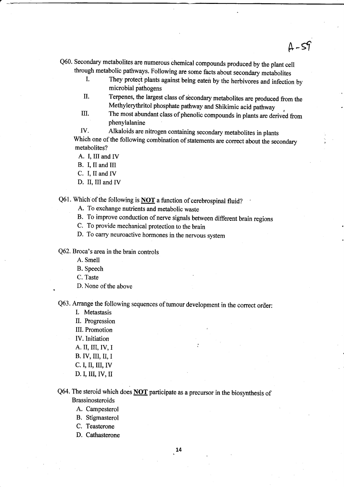- Q60. Secondary metabolites are numerous chemical compounds produced by the plant cell
	- I. They protect plants against being eaten by the herbivores and infection by microbial pathogens

 $A-59$ 

- II. Terpenes, the largest class of secondary metabolites are produced from the Methylerythritol phosphate pathway and shikimic acid pathway
- III. The most abundant class of phenolic compounds in plants are derived from phenylalanine

ry. Alkaloids are nitrogen containing secondary metabolites in plants Which one of the following combination of statements are correct about the secondary metabolites?

A. I, UI and IV

B. I, II and III

- C. I, II and IV
- D. II, III and IV

Q61. Which of the following is **NOT** a function of cerebrospinal fluid?

- A. To exchange nutrients and metabolic waste
- B. To improve conduction of nerve signals between different brain regions
- C. To provide mechanical protection to the brain
- D. To carry neuroactive hormones in the nervous system

Q62. Broca's area in the brain controls

A. Smell

B. Speech

C. Taste

D. None of the above

Q63. Arrange the following sequences of tumour development in the correct order:<br>I. Metastasis

II. Progression

III. Promotion

IV.Initiation

A. II, III,IV,I

B. IV, III, II, I

c.I, II, III,IV

D. I, III,IV, II

# Q64. The steroid which does **NOT** participate as a precursor in the biosynthesis of Brassinosteroids

- A. Campesterol
- B. Stigmasterol
- C. Teasterone
- D. Cathasterone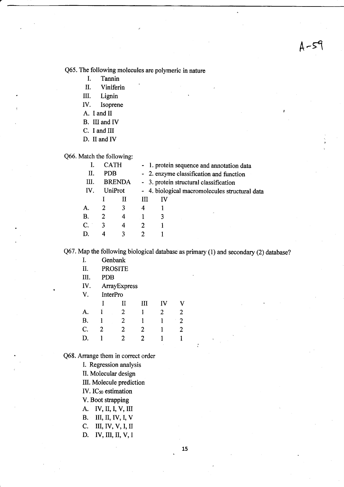Q65. The following molecules are polymeric in nature

- I. Tannin
- II. Viniferin
- III. Lignin
- IV. Isoprene
- A. I and II
- B. III and IV
- C. I and III
- D. II and IV

Q66. Match the following:

|      |            | <b>CATH</b>   |   | - 1. protein sequence and annotation data      |  |
|------|------------|---------------|---|------------------------------------------------|--|
| П.   | <b>PDB</b> |               |   | - 2. enzyme classification and function        |  |
| III. |            | <b>BRENDA</b> |   | - 3. protein structural classification         |  |
| IV.  |            | UniProt       |   | - 4. biological macromolecules structural data |  |
|      |            | Н             | Ш | ΙV                                             |  |
| А.   | 2          | 3             | 4 |                                                |  |
| B.   | 2          | 4             |   | ×.<br>3                                        |  |
| C.   | 3          | 4             | 2 |                                                |  |
| D.   | 4          | ٦             |   |                                                |  |
|      |            |               |   |                                                |  |

Q67. Map the following biological database as primary (1) and secondary (2) database?

- I. Genbank
- II. PROSTTE
- M. PDB
- W. ArrayExpress

V. InterPro

|                |    | $\prod$        | III            | $\mathbf{IV}$  | $\mathbf{V}$   |
|----------------|----|----------------|----------------|----------------|----------------|
| A.             |    | $\overline{2}$ | $\mathbf{1}$   | $\overline{2}$ | $\overline{2}$ |
| B.             |    | 2              |                |                | 2              |
| $\mathbf{C}$ . | -2 | 2              | $\overline{2}$ |                | 2              |
| D.             |    | $\mathbf{2}$   | 2              | 1              |                |

Q68. Arrange them in correct order

l. Regression analysis

II. Molecular design

III. Molecule prediction

IV.ICso estimation

V. Boot sfrapping

- A. IV, II, I, V, III
- B. III, II, IV, I, V
- C. III, IV, V,I, I
- D. IV, III, II, V, I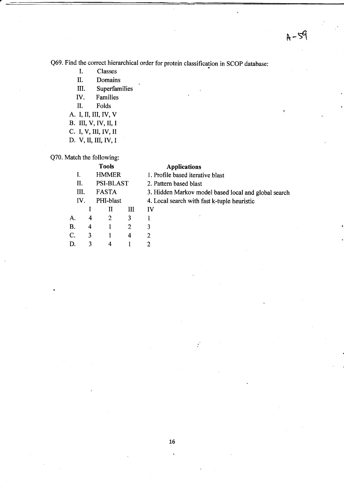Q69. Find the conect hierarchical order for protein classification in SCOP database:

- I. Classes
- IL Domains
- III. Superfamilies
- IV. Families
- II. Folds
- A. I, il, III, IV, V
- B. III, V, IV, II, I
- C. I, V, III, IV, II
- D. V, II, III, IV, I

Q70. Match the following:

### Tools Applications

|           |   | <b>HMMER</b>     |   | 1. Profile based iterative blast |
|-----------|---|------------------|---|----------------------------------|
| П.        |   | <b>PSI-BLAST</b> |   | 2. Pattern based blast           |
| Ш.        |   | FASTA            |   | 3. Hidden Markov model base      |
| IV.       |   | PHI-blast        |   | 4. Local search with fast k-tup  |
|           |   | п                | Ш | IV                               |
|           | 4 | 2                | 3 |                                  |
| <b>B.</b> | 4 |                  | 2 | 3                                |
| C.        | 3 |                  | 4 |                                  |
|           |   |                  |   |                                  |
|           |   |                  |   |                                  |

lden Markov model based local and global search

cal search with fast k-tuple heuristic

 $\cdot$